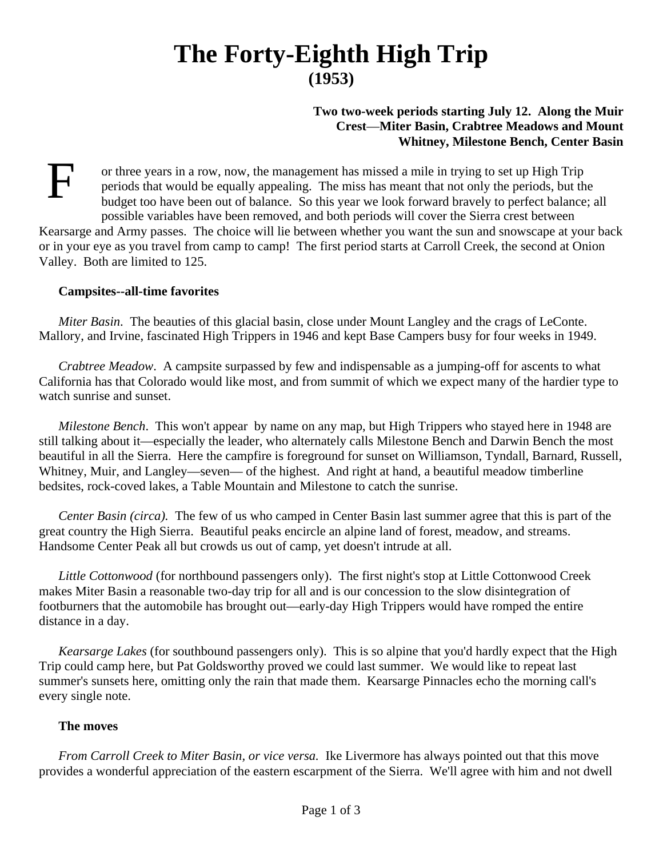# **The Forty-Eighth High Trip (1953)**

# **Two two-week periods starting July 12. Along the Muir Crest**—**Miter Basin, Crabtree Meadows and Mount Whitney, Milestone Bench, Center Basin**

F or three years in a row, now, the management has missed a mile in trying to set up High Trip periods that would be equally appealing. The miss has meant that not only the periods, but the budget too have been out of balance. So this year we look forward bravely to perfect balance; all possible variables have been removed, and both periods will cover the Sierra crest between

Kearsarge and Army passes. The choice will lie between whether you want the sun and snowscape at your back or in your eye as you travel from camp to camp! The first period starts at Carroll Creek, the second at Onion Valley. Both are limited to 125.

#### **Campsites--all-time favorites**

*Miter Basin*. The beauties of this glacial basin, close under Mount Langley and the crags of LeConte. Mallory, and Irvine, fascinated High Trippers in 1946 and kept Base Campers busy for four weeks in 1949.

*Crabtree Meadow*. A campsite surpassed by few and indispensable as a jumping-off for ascents to what California has that Colorado would like most, and from summit of which we expect many of the hardier type to watch sunrise and sunset.

*Milestone Bench*. This won't appear by name on any map, but High Trippers who stayed here in 1948 are still talking about it—especially the leader, who alternately calls Milestone Bench and Darwin Bench the most beautiful in all the Sierra. Here the campfire is foreground for sunset on Williamson, Tyndall, Barnard, Russell, Whitney, Muir, and Langley—seven— of the highest. And right at hand, a beautiful meadow timberline bedsites, rock-coved lakes, a Table Mountain and Milestone to catch the sunrise.

*Center Basin (circa).* The few of us who camped in Center Basin last summer agree that this is part of the great country the High Sierra. Beautiful peaks encircle an alpine land of forest, meadow, and streams. Handsome Center Peak all but crowds us out of camp, yet doesn't intrude at all.

*Little Cottonwood* (for northbound passengers only). The first night's stop at Little Cottonwood Creek makes Miter Basin a reasonable two-day trip for all and is our concession to the slow disintegration of footburners that the automobile has brought out—early-day High Trippers would have romped the entire distance in a day.

*Kearsarge Lakes* (for southbound passengers only). This is so alpine that you'd hardly expect that the High Trip could camp here, but Pat Goldsworthy proved we could last summer. We would like to repeat last summer's sunsets here, omitting only the rain that made them. Kearsarge Pinnacles echo the morning call's every single note.

### **The moves**

*From Carroll Creek to Miter Basin, or vice versa.* Ike Livermore has always pointed out that this move provides a wonderful appreciation of the eastern escarpment of the Sierra. We'll agree with him and not dwell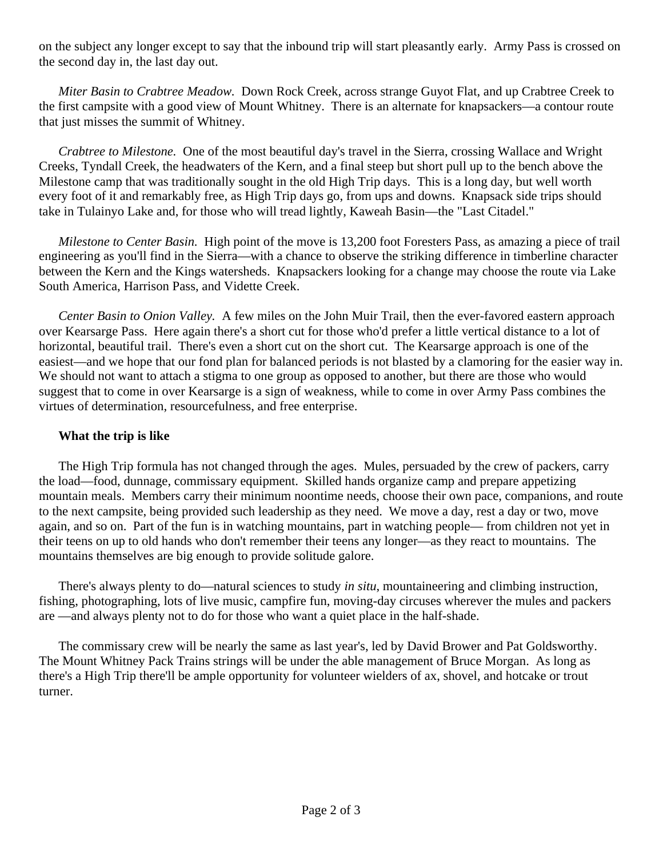on the subject any longer except to say that the inbound trip will start pleasantly early. Army Pass is crossed on the second day in, the last day out.

*Miter Basin to Crabtree Meadow.* Down Rock Creek, across strange Guyot Flat, and up Crabtree Creek to the first campsite with a good view of Mount Whitney. There is an alternate for knapsackers—a contour route that just misses the summit of Whitney.

*Crabtree to Milestone.* One of the most beautiful day's travel in the Sierra, crossing Wallace and Wright Creeks, Tyndall Creek, the headwaters of the Kern, and a final steep but short pull up to the bench above the Milestone camp that was traditionally sought in the old High Trip days. This is a long day, but well worth every foot of it and remarkably free, as High Trip days go, from ups and downs. Knapsack side trips should take in Tulainyo Lake and, for those who will tread lightly, Kaweah Basin—the "Last Citadel."

*Milestone to Center Basin.* High point of the move is 13,200 foot Foresters Pass, as amazing a piece of trail engineering as you'll find in the Sierra—with a chance to observe the striking difference in timberline character between the Kern and the Kings watersheds. Knapsackers looking for a change may choose the route via Lake South America, Harrison Pass, and Vidette Creek.

*Center Basin to Onion Valley.* A few miles on the John Muir Trail, then the ever-favored eastern approach over Kearsarge Pass. Here again there's a short cut for those who'd prefer a little vertical distance to a lot of horizontal, beautiful trail. There's even a short cut on the short cut. The Kearsarge approach is one of the easiest—and we hope that our fond plan for balanced periods is not blasted by a clamoring for the easier way in. We should not want to attach a stigma to one group as opposed to another, but there are those who would suggest that to come in over Kearsarge is a sign of weakness, while to come in over Army Pass combines the virtues of determination, resourcefulness, and free enterprise.

#### **What the trip is like**

The High Trip formula has not changed through the ages. Mules, persuaded by the crew of packers, carry the load—food, dunnage, commissary equipment. Skilled hands organize camp and prepare appetizing mountain meals. Members carry their minimum noontime needs, choose their own pace, companions, and route to the next campsite, being provided such leadership as they need. We move a day, rest a day or two, move again, and so on. Part of the fun is in watching mountains, part in watching people— from children not yet in their teens on up to old hands who don't remember their teens any longer—as they react to mountains. The mountains themselves are big enough to provide solitude galore.

There's always plenty to do—natural sciences to study *in situ*, mountaineering and climbing instruction, fishing, photographing, lots of live music, campfire fun, moving-day circuses wherever the mules and packers are —and always plenty not to do for those who want a quiet place in the half-shade.

The commissary crew will be nearly the same as last year's, led by David Brower and Pat Goldsworthy. The Mount Whitney Pack Trains strings will be under the able management of Bruce Morgan. As long as there's a High Trip there'll be ample opportunity for volunteer wielders of ax, shovel, and hotcake or trout turner.